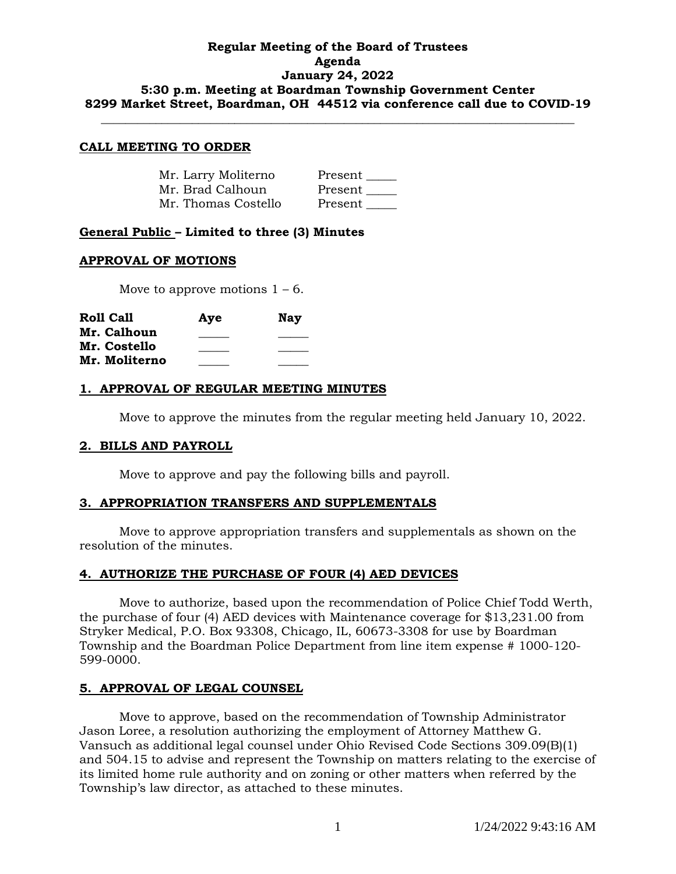## **Regular Meeting of the Board of Trustees Agenda January 24, 2022 5:30 p.m. Meeting at Boardman Township Government Center 8299 Market Street, Boardman, OH 44512 via conference call due to COVID-19**

**\_\_\_\_\_\_\_\_\_\_\_\_\_\_\_\_\_\_\_\_\_\_\_\_\_\_\_\_\_\_\_\_\_\_\_\_\_\_\_\_\_\_\_\_\_\_\_\_\_\_\_\_\_\_\_\_\_\_\_\_\_\_\_\_\_\_\_\_\_\_\_\_\_\_\_\_\_\_**

### **CALL MEETING TO ORDER**

| Mr. Larry Moliterno | Present |
|---------------------|---------|
| Mr. Brad Calhoun    | Present |
| Mr. Thomas Costello | Present |

## **General Public – Limited to three (3) Minutes**

### **APPROVAL OF MOTIONS**

Move to approve motions  $1 - 6$ .

| <b>Roll Call</b> | Aye | <b>Nay</b> |
|------------------|-----|------------|
| Mr. Calhoun      |     |            |
| Mr. Costello     |     |            |
| Mr. Moliterno    |     |            |

### **1. APPROVAL OF REGULAR MEETING MINUTES**

Move to approve the minutes from the regular meeting held January 10, 2022.

### **2. BILLS AND PAYROLL**

Move to approve and pay the following bills and payroll.

### **3. APPROPRIATION TRANSFERS AND SUPPLEMENTALS**

Move to approve appropriation transfers and supplementals as shown on the resolution of the minutes.

### **4. AUTHORIZE THE PURCHASE OF FOUR (4) AED DEVICES**

Move to authorize, based upon the recommendation of Police Chief Todd Werth, the purchase of four (4) AED devices with Maintenance coverage for \$13,231.00 from Stryker Medical, P.O. Box 93308, Chicago, IL, 60673-3308 for use by Boardman Township and the Boardman Police Department from line item expense # 1000-120- 599-0000.

## **5. APPROVAL OF LEGAL COUNSEL**

Move to approve, based on the recommendation of Township Administrator Jason Loree, a resolution authorizing the employment of Attorney Matthew G. Vansuch as additional legal counsel under Ohio Revised Code Sections 309.09(B)(1) and 504.15 to advise and represent the Township on matters relating to the exercise of its limited home rule authority and on zoning or other matters when referred by the Township's law director, as attached to these minutes.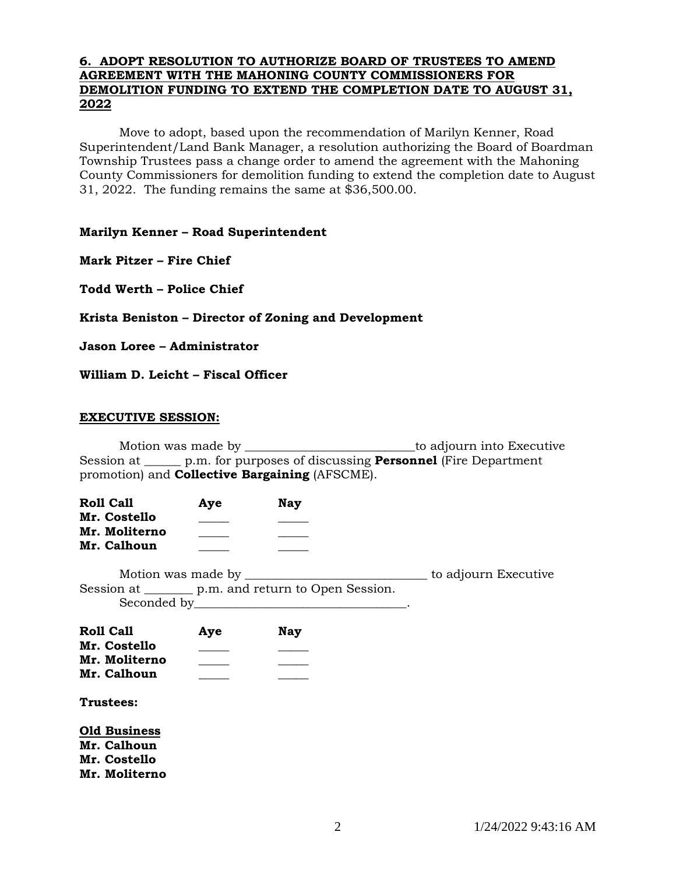## **6. ADOPT RESOLUTION TO AUTHORIZE BOARD OF TRUSTEES TO AMEND AGREEMENT WITH THE MAHONING COUNTY COMMISSIONERS FOR DEMOLITION FUNDING TO EXTEND THE COMPLETION DATE TO AUGUST 31, 2022**

Move to adopt, based upon the recommendation of Marilyn Kenner, Road Superintendent/Land Bank Manager, a resolution authorizing the Board of Boardman Township Trustees pass a change order to amend the agreement with the Mahoning County Commissioners for demolition funding to extend the completion date to August 31, 2022. The funding remains the same at \$36,500.00.

## **Marilyn Kenner – Road Superintendent**

**Mark Pitzer – Fire Chief**

**Todd Werth – Police Chief**

**Krista Beniston – Director of Zoning and Development**

**Jason Loree – Administrator**

## **William D. Leicht – Fiscal Officer**

### **EXECUTIVE SESSION:**

Motion was made by \_\_\_\_\_\_\_\_\_\_\_\_\_\_\_\_\_\_\_\_\_\_\_\_\_\_\_\_to adjourn into Executive Session at \_\_\_\_\_\_ p.m. for purposes of discussing **Personnel** (Fire Department promotion) and **Collective Bargaining** (AFSCME).

| <b>Roll Call</b> | Aye | Nav |
|------------------|-----|-----|
| Mr. Costello     |     |     |
| Mr. Moliterno    |     |     |
| Mr. Calhoun      |     |     |

Motion was made by \_\_\_\_\_\_\_\_\_\_\_\_\_\_\_\_\_\_\_\_\_\_\_\_\_\_\_\_\_\_ to adjourn Executive Session at \_\_\_\_\_\_\_\_ p.m. and return to Open Session. Seconded by

| <b>Roll Call</b> | Aye | <b>Nay</b> |
|------------------|-----|------------|
| Mr. Costello     |     |            |
| Mr. Moliterno    |     |            |
| Mr. Calhoun      |     |            |

### **Trustees:**

**Old Business Mr. Calhoun Mr. Costello Mr. Moliterno**